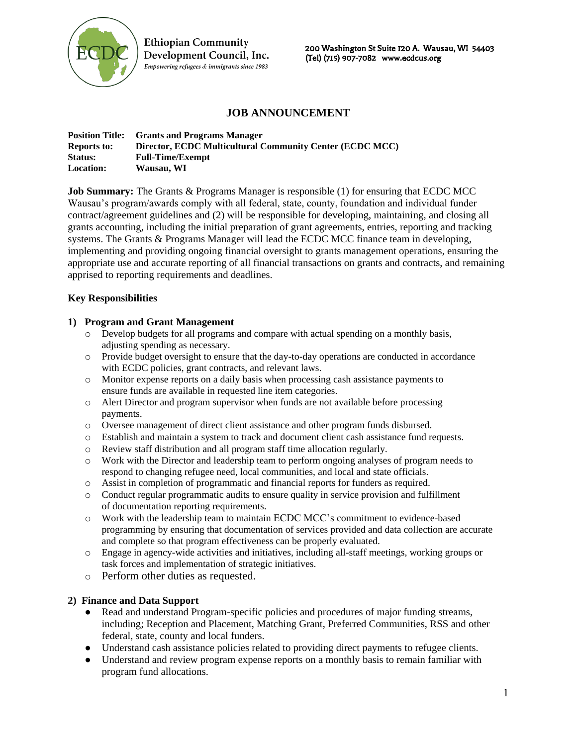

**Ethiopian Community** Development Council, Inc. Empowering refugees & immigrants since 1983

200 Washington St Suite 120 A. Wausau, WI 54403 (Tel) (715) 907-7082 www.ecdcus.org

# **JOB ANNOUNCEMENT**

| <b>Position Title:</b> | <b>Grants and Programs Manager</b>                       |
|------------------------|----------------------------------------------------------|
| <b>Reports to:</b>     | Director, ECDC Multicultural Community Center (ECDC MCC) |
| Status:                | <b>Full-Time/Exempt</b>                                  |
| <b>Location:</b>       | Wausau, WI                                               |

**Job Summary:** The Grants & Programs Manager is responsible (1) for ensuring that ECDC MCC Wausau's program/awards comply with all federal, state, county, foundation and individual funder contract/agreement guidelines and (2) will be responsible for developing, maintaining, and closing all grants accounting, including the initial preparation of grant agreements, entries, reporting and tracking systems. The Grants & Programs Manager will lead the ECDC MCC finance team in developing, implementing and providing ongoing financial oversight to grants management operations, ensuring the appropriate use and accurate reporting of all financial transactions on grants and contracts, and remaining apprised to reporting requirements and deadlines.

#### **Key Responsibilities**

#### **1) Program and Grant Management**

- o Develop budgets for all programs and compare with actual spending on a monthly basis, adjusting spending as necessary.
- o Provide budget oversight to ensure that the day-to-day operations are conducted in accordance with ECDC policies, grant contracts, and relevant laws.
- o Monitor expense reports on a daily basis when processing cash assistance payments to ensure funds are available in requested line item categories.
- o Alert Director and program supervisor when funds are not available before processing payments.
- o Oversee management of direct client assistance and other program funds disbursed.
- o Establish and maintain a system to track and document client cash assistance fund requests.
- o Review staff distribution and all program staff time allocation regularly.
- o Work with the Director and leadership team to perform ongoing analyses of program needs to respond to changing refugee need, local communities, and local and state officials.
- o Assist in completion of programmatic and financial reports for funders as required.
- o Conduct regular programmatic audits to ensure quality in service provision and fulfillment of documentation reporting requirements.
- o Work with the leadership team to maintain ECDC MCC's commitment to evidence-based programming by ensuring that documentation of services provided and data collection are accurate and complete so that program effectiveness can be properly evaluated.
- o Engage in agency-wide activities and initiatives, including all-staff meetings, working groups or task forces and implementation of strategic initiatives.
- o Perform other duties as requested.

### **2) Finance and Data Support**

- Read and understand Program-specific policies and procedures of major funding streams, including; Reception and Placement, Matching Grant, Preferred Communities, RSS and other federal, state, county and local funders.
- Understand cash assistance policies related to providing direct payments to refugee clients.
- Understand and review program expense reports on a monthly basis to remain familiar with program fund allocations.